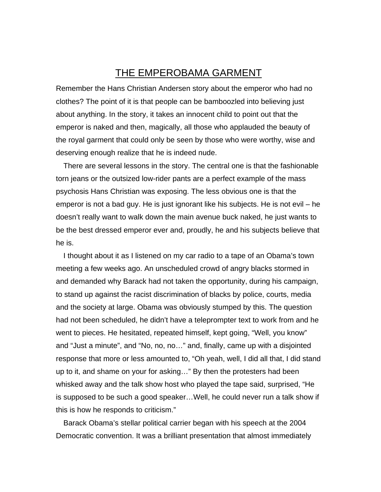## THE EMPEROBAMA GARMENT

Remember the Hans Christian Andersen story about the emperor who had no clothes? The point of it is that people can be bamboozled into believing just about anything. In the story, it takes an innocent child to point out that the emperor is naked and then, magically, all those who applauded the beauty of the royal garment that could only be seen by those who were worthy, wise and deserving enough realize that he is indeed nude.

There are several lessons in the story. The central one is that the fashionable torn jeans or the outsized low-rider pants are a perfect example of the mass psychosis Hans Christian was exposing. The less obvious one is that the emperor is not a bad guy. He is just ignorant like his subjects. He is not evil – he doesn't really want to walk down the main avenue buck naked, he just wants to be the best dressed emperor ever and, proudly, he and his subjects believe that he is.

I thought about it as I listened on my car radio to a tape of an Obama's town meeting a few weeks ago. An unscheduled crowd of angry blacks stormed in and demanded why Barack had not taken the opportunity, during his campaign, to stand up against the racist discrimination of blacks by police, courts, media and the society at large. Obama was obviously stumped by this. The question had not been scheduled, he didn't have a teleprompter text to work from and he went to pieces. He hesitated, repeated himself, kept going, "Well, you know" and "Just a minute", and "No, no, no…" and, finally, came up with a disjointed response that more or less amounted to, "Oh yeah, well, I did all that, I did stand up to it, and shame on your for asking…" By then the protesters had been whisked away and the talk show host who played the tape said, surprised, "He is supposed to be such a good speaker…Well, he could never run a talk show if this is how he responds to criticism."

Barack Obama's stellar political carrier began with his speech at the 2004 Democratic convention. It was a brilliant presentation that almost immediately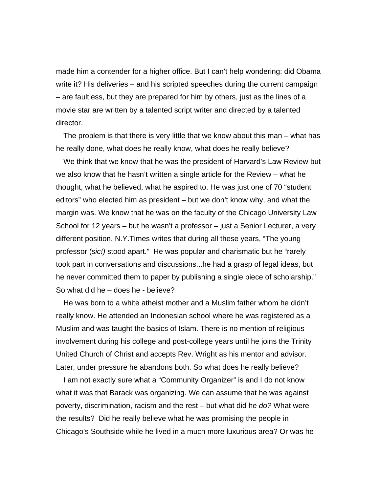made him a contender for a higher office. But I can't help wondering: did Obama write it? His deliveries – and his scripted speeches during the current campaign – are faultless, but they are prepared for him by others, just as the lines of a movie star are written by a talented script writer and directed by a talented director.

The problem is that there is very little that we know about this man – what has he really done, what does he really know, what does he really believe?

We think that we know that he was the president of Harvard's Law Review but we also know that he hasn't written a single article for the Review – what he thought, what he believed, what he aspired to. He was just one of 70 "student editors" who elected him as president – but we don't know why, and what the margin was. We know that he was on the faculty of the Chicago University Law School for 12 years – but he wasn't a professor – just a Senior Lecturer, a very different position. N.Y.Times writes that during all these years, "The young professor (*sic!)* stood apart." He was popular and charismatic but he "rarely took part in conversations and discussions...he had a grasp of legal ideas, but he never committed them to paper by publishing a single piece of scholarship." So what did he – does he - believe?

He was born to a white atheist mother and a Muslim father whom he didn't really know. He attended an Indonesian school where he was registered as a Muslim and was taught the basics of Islam. There is no mention of religious involvement during his college and post-college years until he joins the Trinity United Church of Christ and accepts Rev. Wright as his mentor and advisor. Later, under pressure he abandons both. So what does he really believe?

I am not exactly sure what a "Community Organizer" is and I do not know what it was that Barack was organizing. We can assume that he was against poverty, discrimination, racism and the rest – but what did he *do?* What were the results? Did he really believe what he was promising the people in Chicago's Southside while he lived in a much more luxurious area? Or was he